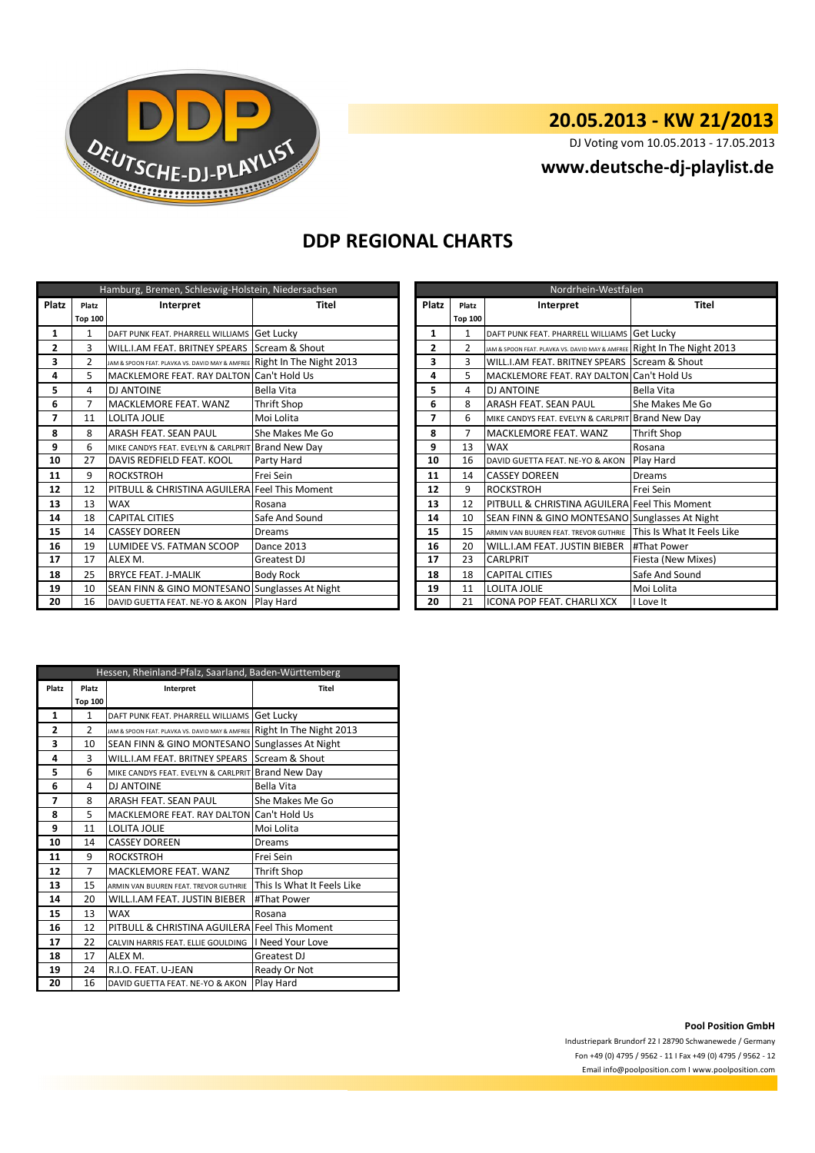

## **20.05.2013 - KW 21/2013**

DJ Voting vom 10.05.2013 - 17.05.2013

## **www.deutsche-dj-playlist.de**

### **DDP REGIONAL CHARTS**

| Hamburg, Bremen, Schleswig-Holstein, Niedersachsen |                |                                                                         |                   |  | Nordrhein-Westfalen |                |                                                                         |                            |
|----------------------------------------------------|----------------|-------------------------------------------------------------------------|-------------------|--|---------------------|----------------|-------------------------------------------------------------------------|----------------------------|
| Platz                                              | Platz          | Interpret                                                               | Titel             |  | Platz<br>Platz      |                | Interpret                                                               | <b>Titel</b>               |
|                                                    | <b>Top 100</b> |                                                                         |                   |  |                     | <b>Top 100</b> |                                                                         |                            |
| 1                                                  | 1              | DAFT PUNK FEAT. PHARRELL WILLIAMS Get Lucky                             |                   |  | 1                   | $\mathbf{1}$   | DAFT PUNK FEAT. PHARRELL WILLIAMS Get Lucky                             |                            |
| $\overline{2}$                                     | 3              | WILL.I.AM FEAT. BRITNEY SPEARS Scream & Shout                           |                   |  | $\overline{2}$      | $\overline{2}$ | JAM & SPOON FEAT. PLAVKA VS. DAVID MAY & AMFREE Right In The Night 2013 |                            |
| 3                                                  | $\overline{2}$ | JAM & SPOON FEAT. PLAVKA VS. DAVID MAY & AMFREE Right In The Night 2013 |                   |  | 3                   | 3              | WILL.I.AM FEAT. BRITNEY SPEARS Scream & Shout                           |                            |
| 4                                                  | 5              | MACKLEMORE FEAT. RAY DALTON Can't Hold Us                               |                   |  | 4                   | 5.             | MACKLEMORE FEAT. RAY DALTON Can't Hold Us                               |                            |
| 5                                                  | 4              | <b>DJ ANTOINE</b>                                                       | <b>Bella Vita</b> |  | 5                   | 4              | <b>DJ ANTOINE</b>                                                       | <b>Bella Vita</b>          |
| 6                                                  | 7              | MACKLEMORE FEAT. WANZ                                                   | Thrift Shop       |  | 6                   | 8              | <b>ARASH FEAT. SEAN PAUL</b>                                            | She Makes Me Go            |
| $\overline{ }$                                     | 11             | <b>LOLITA JOLIE</b>                                                     | Moi Lolita        |  | $\overline{ }$      | 6              | MIKE CANDYS FEAT. EVELYN & CARLPRIT Brand New Day                       |                            |
| 8                                                  | 8              | ARASH FEAT. SEAN PAUL                                                   | She Makes Me Go   |  | 8                   | 7              | MACKLEMORE FEAT. WANZ                                                   | <b>Thrift Shop</b>         |
| 9                                                  | 6              | MIKE CANDYS FEAT. EVELYN & CARLPRIT Brand New Day                       |                   |  | 9                   | 13             | <b>WAX</b>                                                              | Rosana                     |
| 10                                                 | 27             | DAVIS REDFIELD FEAT. KOOL                                               | Party Hard        |  | 10                  | 16             | DAVID GUETTA FEAT. NE-YO & AKON                                         | Play Hard                  |
| 11                                                 | 9              | <b>ROCKSTROH</b>                                                        | Frei Sein         |  | 11                  | 14             | <b>CASSEY DOREEN</b>                                                    | <b>Dreams</b>              |
| 12                                                 | 12             | PITBULL & CHRISTINA AGUILERA Feel This Moment                           |                   |  | 12                  | 9              | <b>ROCKSTROH</b>                                                        | Frei Sein                  |
| 13                                                 | 13             | <b>WAX</b>                                                              | Rosana            |  | 13                  | 12             | PITBULL & CHRISTINA AGUILERA Feel This Moment                           |                            |
| 14                                                 | 18             | <b>CAPITAL CITIES</b>                                                   | Safe And Sound    |  | 14                  | 10             | SEAN FINN & GINO MONTESANO Sunglasses At Night                          |                            |
| 15                                                 | 14             | <b>CASSEY DOREEN</b>                                                    | Dreams            |  | 15                  | 15             | ARMIN VAN BUUREN FEAT. TREVOR GUTHRIE                                   | This Is What It Feels Like |
| 16                                                 | 19             | LUMIDEE VS. FATMAN SCOOP                                                | Dance 2013        |  | 16                  | 20             | WILL.I.AM FEAT. JUSTIN BIEBER                                           | #That Power                |
| 17                                                 | 17             | ALEX M.                                                                 | Greatest DJ       |  | 17                  | 23             | <b>CARLPRIT</b>                                                         | Fiesta (New Mixes)         |
| 18                                                 | 25             | <b>BRYCE FEAT. J-MALIK</b>                                              | <b>Body Rock</b>  |  | 18                  | 18             | <b>CAPITAL CITIES</b>                                                   | Safe And Sound             |
| 19                                                 | 10             | SEAN FINN & GINO MONTESANO Sunglasses At Night                          |                   |  | 19                  | 11             | LOLITA JOLIE                                                            | Moi Lolita                 |
| 20                                                 | 16             | DAVID GUETTA FEAT. NE-YO & AKON Play Hard                               |                   |  | 20                  | 21             | ICONA POP FEAT. CHARLI XCX                                              | I Love It                  |

| Nordrhein-Westfalen |                    |                                                   |                            |  |  |
|---------------------|--------------------|---------------------------------------------------|----------------------------|--|--|
| Platz               | Interpret<br>Platz |                                                   | <b>Titel</b>               |  |  |
|                     | <b>Top 100</b>     |                                                   |                            |  |  |
| $\mathbf{1}$        | $\mathbf{1}$       | DAFT PUNK FEAT. PHARRELL WILLIAMS                 | Get Lucky                  |  |  |
| $\overline{2}$      | $\overline{2}$     | JAM & SPOON FEAT. PLAVKA VS. DAVID MAY & AMFREE   | Right In The Night 2013    |  |  |
| 3                   | 3                  | WILL.I.AM FEAT. BRITNEY SPEARS                    | Scream & Shout             |  |  |
| 4                   | 5                  | MACKLEMORE FEAT. RAY DALTON                       | Can't Hold Us              |  |  |
| 5                   | 4                  | <b>DJ ANTOINE</b>                                 | Bella Vita                 |  |  |
| 6                   | 8                  | ARASH FEAT. SEAN PAUL                             | She Makes Me Go            |  |  |
| 7                   | 6                  | MIKE CANDYS FEAT. EVELYN & CARLPRIT Brand New Day |                            |  |  |
| 8                   | 7                  | MACKLEMORE FEAT. WANZ                             | Thrift Shop                |  |  |
| 9                   | 13                 | <b>WAX</b>                                        | Rosana                     |  |  |
| 10                  | 16                 | DAVID GUETTA FEAT. NE-YO & AKON                   | Play Hard                  |  |  |
| 11                  | 14                 | <b>CASSEY DOREEN</b>                              | <b>Dreams</b>              |  |  |
| 12                  | 9                  | <b>ROCKSTROH</b>                                  | Frei Sein                  |  |  |
| 13                  | 12                 | PITBULL & CHRISTINA AGUILERA Feel This Moment     |                            |  |  |
| 14                  | 10                 | SEAN FINN & GINO MONTESANO Sunglasses At Night    |                            |  |  |
| 15                  | 15                 | ARMIN VAN BUUREN FEAT. TREVOR GUTHRIE             | This Is What It Feels Like |  |  |
| 16                  | 20                 | WILL.I.AM FEAT. JUSTIN BIEBER                     | #That Power                |  |  |
| 17                  | 23                 | CARLPRIT                                          | Fiesta (New Mixes)         |  |  |
| 18                  | 18                 | <b>CAPITAL CITIES</b>                             | Safe And Sound             |  |  |
| 19                  | 11                 | <b>LOLITA JOLIE</b>                               | Moi Lolita                 |  |  |
| 20                  | 21                 | ICONA POP FEAT. CHARLI XCX                        | I Love It                  |  |  |

| Hessen, Rheinland-Pfalz, Saarland, Baden-Württemberg |                    |                                                 |                            |  |  |
|------------------------------------------------------|--------------------|-------------------------------------------------|----------------------------|--|--|
| Platz                                                | Platz<br>Interpret |                                                 | <b>Titel</b>               |  |  |
|                                                      | <b>Top 100</b>     |                                                 |                            |  |  |
| 1                                                    | $\mathbf{1}$       | DAFT PUNK FEAT. PHARRELL WILLIAMS               | Get Lucky                  |  |  |
| 2                                                    | $\overline{2}$     | JAM & SPOON FEAT. PLAVKA VS. DAVID MAY & AMFREE | Right In The Night 2013    |  |  |
| 3                                                    | 10                 | <b>SEAN FINN &amp; GINO MONTESANO</b>           | Sunglasses At Night        |  |  |
| 4                                                    | 3                  | WILL.I.AM FEAT. BRITNEY SPEARS                  | Scream & Shout             |  |  |
| 5                                                    | 6                  | MIKE CANDYS FEAT. EVELYN & CARLPRIT             | <b>Brand New Day</b>       |  |  |
| 6                                                    | 4                  | <b>DJ ANTOINE</b>                               | Bella Vita                 |  |  |
| 7                                                    | 8                  | ARASH FEAT. SEAN PAUL                           | She Makes Me Go            |  |  |
| 8                                                    | 5                  | <b>MACKLEMORE FEAT. RAY DALTON</b>              | Can't Hold Us              |  |  |
| 9                                                    | 11                 | <b>LOLITA JOLIE</b>                             | Moi Lolita                 |  |  |
| 10                                                   | 14                 | <b>CASSEY DOREEN</b>                            | Dreams                     |  |  |
| 11                                                   | 9                  | <b>ROCKSTROH</b>                                | Frei Sein                  |  |  |
| 12                                                   | $\overline{7}$     | MACKLEMORE FEAT, WANZ                           | <b>Thrift Shop</b>         |  |  |
| 13                                                   | 15                 | ARMIN VAN BUUREN FEAT. TREVOR GUTHRIE           | This Is What It Feels Like |  |  |
| 14                                                   | 20                 | WILL.I.AM FEAT. JUSTIN BIEBER                   | #That Power                |  |  |
| 15                                                   | 13                 | <b>WAX</b>                                      | Rosana                     |  |  |
| 16                                                   | 12                 | PITBULL & CHRISTINA AGUILERA Feel This Moment   |                            |  |  |
| 17                                                   | 22                 | CALVIN HARRIS FEAT. ELLIE GOULDING              | I Need Your Love           |  |  |
| 18                                                   | 17                 | ALEX M.                                         | Greatest DJ                |  |  |
| 19                                                   | 24                 | R.I.O. FEAT. U-JEAN                             | Ready Or Not               |  |  |
| 20                                                   | 16                 | DAVID GUETTA FEAT. NE-YO & AKON                 | Play Hard                  |  |  |

### **Pool Position GmbH**

Industriepark Brundorf 22 I 28790 Schwanewede / Germany Fon +49 (0) 4795 / 9562 - 11 I Fax +49 (0) 4795 / 9562 - 12 Email info@poolposition.com I www.poolposition.com